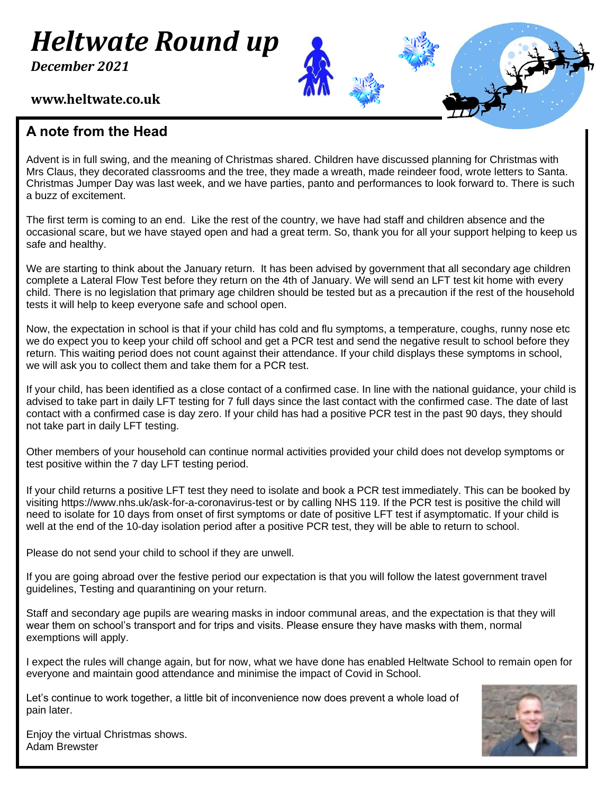# *Heltwate Round up*

*December 2021*

#### 0 + **www.heltwate.co.uk**

#### **A note from the Head**

Advent is in full swing, and the meaning of Christmas shared. Children have discussed planning for Christmas with Mrs Claus, they decorated classrooms and the tree, they made a wreath, made reindeer food, wrote letters to Santa. Christmas Jumper Day was last week, and we have parties, panto and performances to look forward to. There is such a buzz of excitement.

The first term is coming to an end. Like the rest of the country, we have had staff and children absence and the occasional scare, but we have stayed open and had a great term. So, thank you for all your support helping to keep us safe and healthy.

We are starting to think about the January return. It has been advised by government that all secondary age children complete a Lateral Flow Test before they return on the 4th of January. We will send an LFT test kit home with every child. There is no legislation that primary age children should be tested but as a precaution if the rest of the household tests it will help to keep everyone safe and school open.

Now, the expectation in school is that if your child has cold and flu symptoms, a temperature, coughs, runny nose etc we do expect you to keep your child off school and get a PCR test and send the negative result to school before they return. This waiting period does not count against their attendance. If your child displays these symptoms in school, we will ask you to collect them and take them for a PCR test.

If your child, has been identified as a close contact of a confirmed case. In line with the national guidance, your child is advised to take part in daily LFT testing for 7 full days since the last contact with the confirmed case. The date of last contact with a confirmed case is day zero. If your child has had a positive PCR test in the past 90 days, they should not take part in daily LFT testing.

Other members of your household can continue normal activities provided your child does not develop symptoms or test positive within the 7 day LFT testing period.

If your child returns a positive LFT test they need to isolate and book a PCR test immediately. This can be booked by visiting https://www.nhs.uk/ask-for-a-coronavirus-test or by calling NHS 119. If the PCR test is positive the child will need to isolate for 10 days from onset of first symptoms or date of positive LFT test if asymptomatic. If your child is well at the end of the 10-day isolation period after a positive PCR test, they will be able to return to school.

Please do not send your child to school if they are unwell.

If you are going abroad over the festive period our expectation is that you will follow the latest government travel guidelines, Testing and quarantining on your return.

Staff and secondary age pupils are wearing masks in indoor communal areas, and the expectation is that they will wear them on school's transport and for trips and visits. Please ensure they have masks with them, normal exemptions will apply.

I expect the rules will change again, but for now, what we have done has enabled Heltwate School to remain open for everyone and maintain good attendance and minimise the impact of Covid in School.

Let's continue to work together, a little bit of inconvenience now does prevent a whole load of pain later.



Enjoy the virtual Christmas shows. Adam Brewster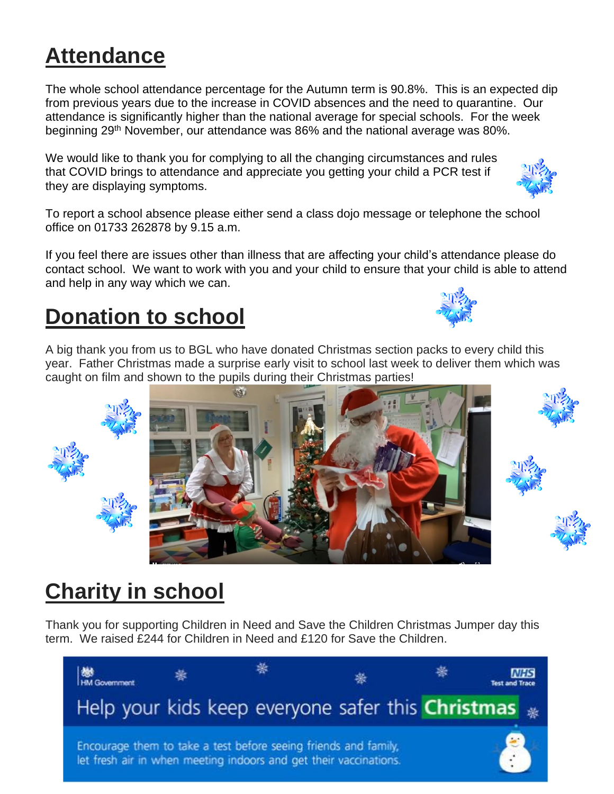## **Attendance**

The whole school attendance percentage for the Autumn term is 90.8%. This is an expected dip from previous years due to the increase in COVID absences and the need to quarantine. Our attendance is significantly higher than the national average for special schools. For the week beginning 29th November, our attendance was 86% and the national average was 80%.

We would like to thank you for complying to all the changing circumstances and rules that COVID brings to attendance and appreciate you getting your child a PCR test if they are displaying symptoms.

To report a school absence please either send a class dojo message or telephone the school office on 01733 262878 by 9.15 a.m.

If you feel there are issues other than illness that are affecting your child's attendance please do contact school. We want to work with you and your child to ensure that your child is able to attend and help in any way which we can.

#### **Donation to school**

A big thank you from us to BGL who have donated Christmas section packs to every child this year. Father Christmas made a surprise early visit to school last week to deliver them which was caught on film and shown to the pupils during their Christmas parties!



Thank you for supporting Children in Need and Save the Children Christmas Jumper day this term. We raised £244 for Children in Need and £120 for Save the Children.











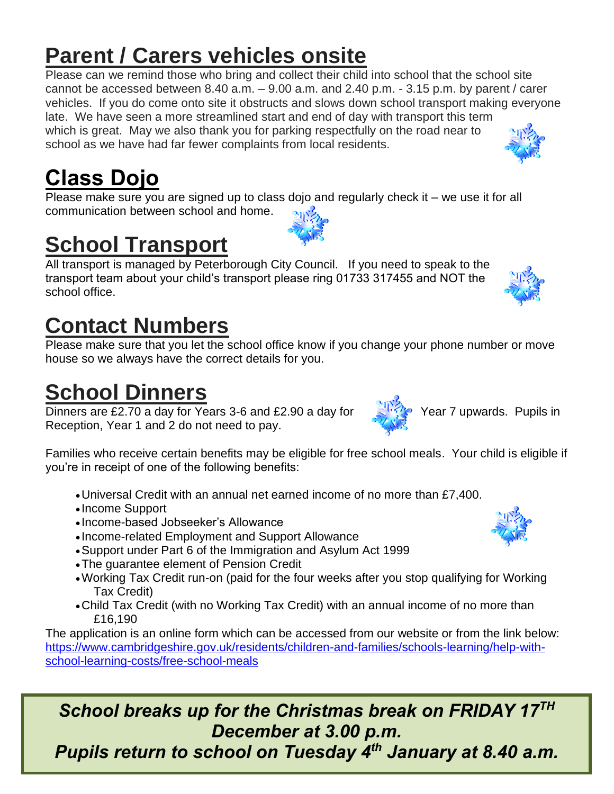### **Parent / Carers vehicles onsite**

Please can we remind those who bring and collect their child into school that the school site cannot be accessed between  $8.40$  a.m.  $-9.00$  a.m. and  $2.40$  p.m.  $-3.15$  p.m. by parent / carer vehicles. If you do come onto site it obstructs and slows down school transport making everyone late. We have seen a more streamlined start and end of day with transport this term which is great. May we also thank you for parking respectfully on the road near to school as we have had far fewer complaints from local residents.

## **Class Dojo**

Please make sure you are signed up to class dojo and regularly check it – we use it for all communication between school and home.

## **School Transport**

All transport is managed by Peterborough City Council. If you need to speak to the transport team about your child's transport please ring 01733 317455 and NOT the school office.

#### **Contact Numbers**

Please make sure that you let the school office know if you change your phone number or move house so we always have the correct details for you.

#### **School Dinners**

Dinners are £2.70 a day for Years 3-6 and £2.90 a day for  $\frac{24.7}{8}$  Year 7 upwards. Pupils in Reception, Year 1 and 2 do not need to pay.

Families who receive certain benefits may be eligible for free school meals. Your child is eligible if you're in receipt of one of the following benefits:

- •Universal Credit with an annual net earned income of no more than £7,400.
- Income Support
- Income-based Jobseeker's Allowance
- Income-related Employment and Support Allowance
- •Support under Part 6 of the Immigration and Asylum Act 1999
- •The guarantee element of Pension Credit
- •Working Tax Credit run-on (paid for the four weeks after you stop qualifying for Working Tax Credit)
- •Child Tax Credit (with no Working Tax Credit) with an annual income of no more than £16,190

The application is an online form which can be accessed from our website or from the link below: [https://www.cambridgeshire.gov.uk/residents/children-and-families/schools-learning/help-with](https://www.cambridgeshire.gov.uk/residents/children-and-families/schools-learning/help-with-school-learning-costs/free-school-meals)[school-learning-costs/free-school-meals](https://www.cambridgeshire.gov.uk/residents/children-and-families/schools-learning/help-with-school-learning-costs/free-school-meals)

#### *School breaks up for the Christmas break on FRIDAY 17TH December at 3.00 p.m.*

*Pupils return to school on Tuesday 4 th January at 8.40 a.m.*